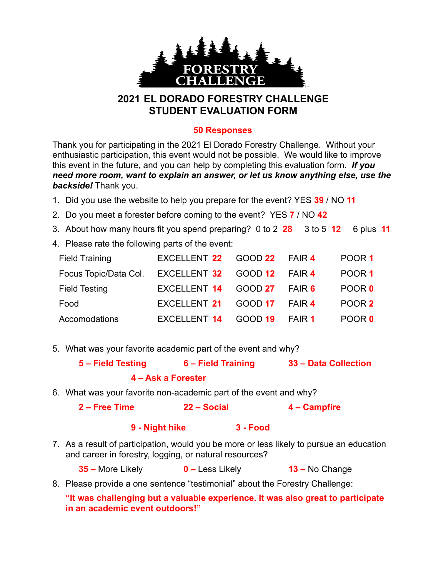

## **2021 EL DORADO FORESTRY CHALLENGE STUDENT EVALUATION FORM**

## **50 Responses**

Thank you for participating in the 2021 El Dorado Forestry Challenge. Without your enthusiastic participation, this event would not be possible. We would like to improve this event in the future, and you can help by completing this evaluation form. *If you need more room, want to explain an answer, or let us know anything else, use the backside!* Thank you.

- 1. Did you use the website to help you prepare for the event? YES **39** / NO **11**
- 2. Do you meet a forester before coming to the event? YES **7** / NO **42**
- 3. About how many hours fit you spend preparing? 0 to 2 **28** 3 to 5 **12** 6 plus **11**
- 4. Please rate the following parts of the event:

| <b>Field Training</b>                             | EXCELLENT 22 GOOD 22 FAIR 4 |                |               | POOR 1            |
|---------------------------------------------------|-----------------------------|----------------|---------------|-------------------|
| Focus Topic/Data Col. EXCELLENT 32 GOOD 12 FAIR 4 |                             |                |               | POOR <sub>1</sub> |
| <b>Field Testing</b>                              | EXCELLENT 14 GOOD 27 FAIR 6 |                |               | POOR 0            |
| Food                                              | EXCELLENT 21 GOOD 17 FAIR 4 |                |               | POOR 2            |
| Accomodations                                     | EXCELLENT 14                | <b>GOOD 19</b> | <b>FAIR 1</b> | POOR 0            |

5. What was your favorite academic part of the event and why?

| 5 - Field Testing | 6 – Field Training | 33 - Data Collection |
|-------------------|--------------------|----------------------|
|                   | 4 – Ask a Forester |                      |

6. What was your favorite non-academic part of the event and why?

## **2 – Free Time 22 – Social 4 – Campfire**

## **9 - Night hike 3 - Food**

7. As a result of participation, would you be more or less likely to pursue an education and career in forestry, logging, or natural resources?

**35 –** More Likely **0 –** Less Likely **13 –** No Change

8. Please provide a one sentence "testimonial" about the Forestry Challenge:

**"It was challenging but a valuable experience. It was also great to participate in an academic event outdoors!"**